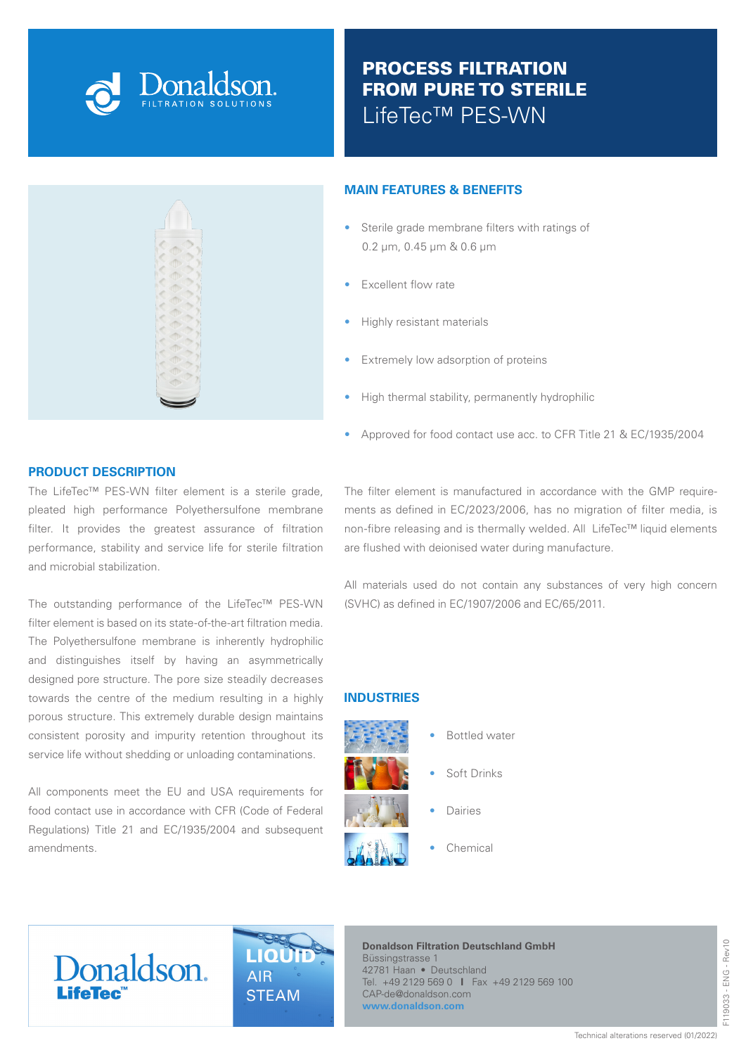

# PROCESS FILTRATION FROM PURE TO STERILE LifeTec™ PES-WN



# **PRODUCT DESCRIPTION**

The LifeTec™ PES-WN filter element is a sterile grade, pleated high performance Polyethersulfone membrane filter. It provides the greatest assurance of filtration performance, stability and service life for sterile filtration and microbial stabilization.

The outstanding performance of the LifeTec™ PES-WN filter element is based on its state-of-the-art filtration media. The Polyethersulfone membrane is inherently hydrophilic and distinguishes itself by having an asymmetrically designed pore structure. The pore size steadily decreases towards the centre of the medium resulting in a highly porous structure. This extremely durable design maintains consistent porosity and impurity retention throughout its service life without shedding or unloading contaminations.

All components meet the EU and USA requirements for food contact use in accordance with CFR (Code of Federal Regulations) Title 21 and EC/1935/2004 and subsequent amendments.

#### **MAIN FEATURES & BENEFITS**

- Sterile grade membrane filters with ratings of 0.2 µm, 0.45 µm & 0.6 µm
- Excellent flow rate
- Highly resistant materials
- Extremely low adsorption of proteins
- High thermal stability, permanently hydrophilic
- Approved for food contact use acc. to CFR Title 21 & EC/1935/2004

The filter element is manufactured in accordance with the GMP requirements as defined in EC/2023/2006, has no migration of filter media, is non-fibre releasing and is thermally welded. All LifeTec™ liquid elements are flushed with deionised water during manufacture.

All materials used do not contain any substances of very high concern (SVHC) as defined in EC/1907/2006 and EC/65/2011.

#### **INDUSTRIES**



- Bottled water
- Soft Drinks
- Dairies
- Chemical

# Donaldson.



**Donaldson Filtration Deutschland GmbH** Büssingstrasse 1 42781 Haan • Deutschland Tel. +49 2129 569 0 **I** Fax +49 2129 569 100 CAP-de@donaldson.com **www.donaldson.com**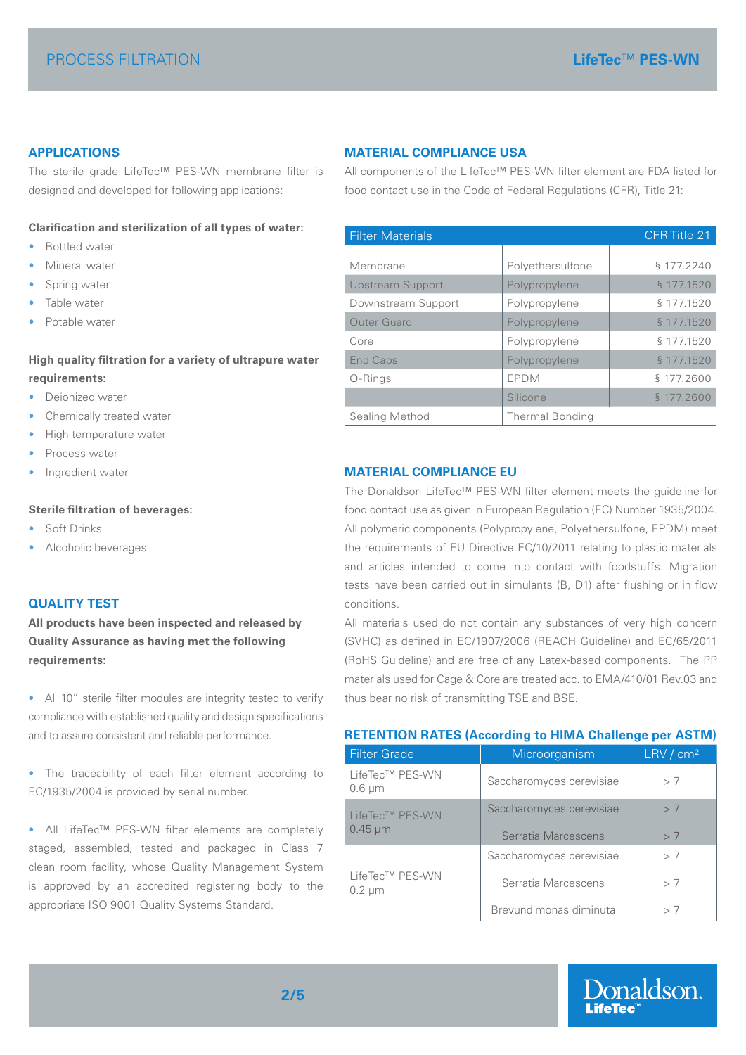# **APPLICATIONS**

The sterile grade LifeTec™ PES-WN membrane filter is designed and developed for following applications:

#### **Clarification and sterilization of all types of water:**

- Bottled water
- Mineral water
- Spring water
- Table water
- Potable water

# **High quality filtration for a variety of ultrapure water requirements:**

- Deionized water
- Chemically treated water
- High temperature water
- Process water
- Ingredient water

#### **Sterile filtration of beverages:**

- Soft Drinks
- Alcoholic beverages

# **QUALITY TEST**

**All products have been inspected and released by Quality Assurance as having met the following requirements:**

• All 10" sterile filter modules are integrity tested to verify compliance with established quality and design specifications and to assure consistent and reliable performance.

• The traceability of each filter element according to EC/1935/2004 is provided by serial number.

• All LifeTec™ PES-WN filter elements are completely staged, assembled, tested and packaged in Class 7 clean room facility, whose Quality Management System is approved by an accredited registering body to the appropriate ISO 9001 Quality Systems Standard.

#### **MATERIAL COMPLIANCE USA**

All components of the LifeTec™ PES-WN filter element are FDA listed for food contact use in the Code of Federal Regulations (CFR), Title 21:

| <b>Filter Materials</b> |                        | CFR Title 21 |  |  |
|-------------------------|------------------------|--------------|--|--|
|                         |                        |              |  |  |
| Membrane                | Polyethersulfone       | § 177.2240   |  |  |
| <b>Upstream Support</b> | Polypropylene          | § 177.1520   |  |  |
| Downstream Support      | Polypropylene          | § 177.1520   |  |  |
| <b>Outer Guard</b>      | Polypropylene          | § 177.1520   |  |  |
| Core                    | Polypropylene          | § 177.1520   |  |  |
| <b>End Caps</b>         | Polypropylene          | § 177.1520   |  |  |
| O-Rings                 | <b>EPDM</b>            | § 177.2600   |  |  |
|                         | Silicone               | § 177.2600   |  |  |
| Sealing Method          | <b>Thermal Bonding</b> |              |  |  |

#### **MATERIAL COMPLIANCE EU**

The Donaldson LifeTec™ PES-WN filter element meets the guideline for food contact use as given in European Regulation (EC) Number 1935/2004. All polymeric components (Polypropylene, Polyethersulfone, EPDM) meet the requirements of EU Directive EC/10/2011 relating to plastic materials and articles intended to come into contact with foodstuffs. Migration tests have been carried out in simulants (B, D1) after flushing or in flow conditions.

All materials used do not contain any substances of very high concern (SVHC) as defined in EC/1907/2006 (REACH Guideline) and EC/65/2011 (RoHS Guideline) and are free of any Latex-based components. The PP materials used for Cage & Core are treated acc. to EMA/410/01 Rev.03 and thus bear no risk of transmitting TSE and BSE.

#### **RETENTION RATES (According to HIMA Challenge per ASTM)**

| <b>Filter Grade</b>             | Microorganism                                   | $LRV$ / $cm2$ |
|---------------------------------|-------------------------------------------------|---------------|
| LifeTec™ PES-WN<br>$0.6 \mu m$  | Saccharomyces cerevisiae                        | > 7           |
| LifeTec™ PES-WN<br>$0.45 \mu m$ | Saccharomyces cerevisiae<br>Serratia Marcescens | > 7<br>> 7    |
|                                 | Saccharomyces cerevisiae                        | > 7           |
| LifeTec™ PES-WN<br>$0.2 \mu m$  | Serratia Marcescens                             | >7            |
|                                 | Brevundimonas diminuta                          | > 7           |

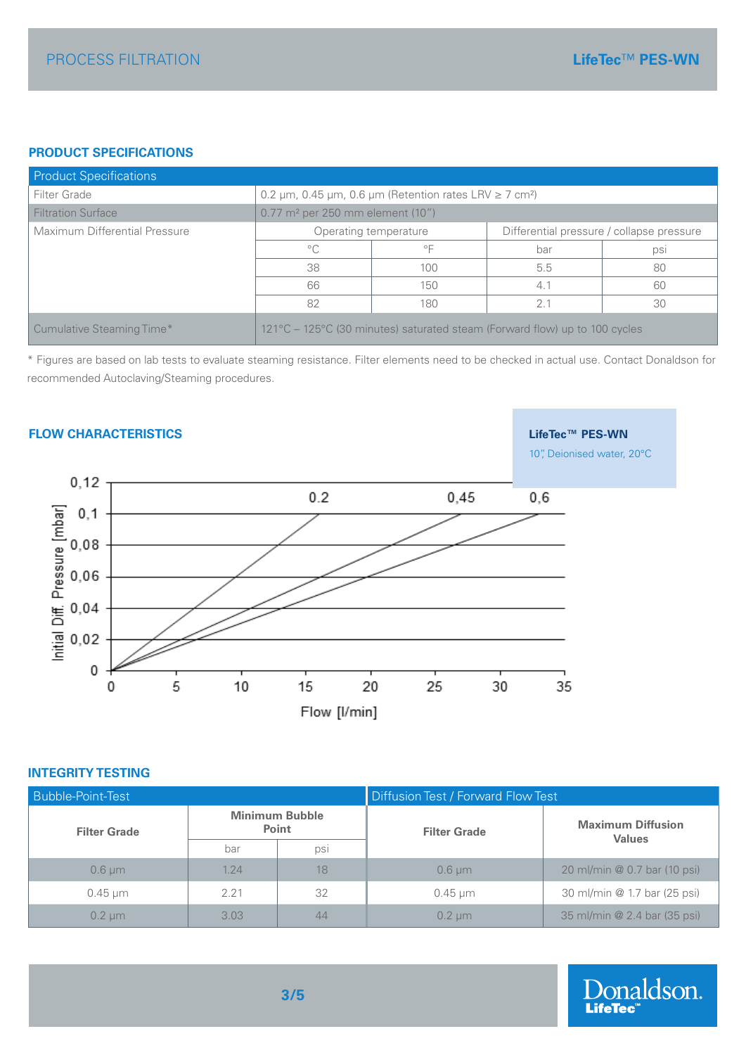# **PRODUCT SPECIFICATIONS**

| <b>Product Specifications</b> |                                                                            |                                                                        |     |     |  |  |
|-------------------------------|----------------------------------------------------------------------------|------------------------------------------------------------------------|-----|-----|--|--|
| Filter Grade                  |                                                                            | 0.2 µm, 0.45 µm, 0.6 µm (Retention rates LRV $\ge$ 7 cm <sup>2</sup> ) |     |     |  |  |
| <b>Filtration Surface</b>     |                                                                            | $0.77$ m <sup>2</sup> per 250 mm element (10")                         |     |     |  |  |
| Maximum Differential Pressure | Differential pressure / collapse pressure<br>Operating temperature         |                                                                        |     |     |  |  |
|                               | $^{\circ}$ C                                                               | $\circ \sqsubset$                                                      | bar | psi |  |  |
|                               | 38                                                                         | 100                                                                    | 5.5 | 80  |  |  |
|                               | 66                                                                         | 150                                                                    | 4.1 | 60  |  |  |
|                               | 82                                                                         | 180                                                                    | 2.1 | 30  |  |  |
| Cumulative Steaming Time*     | 121°C – 125°C (30 minutes) saturated steam (Forward flow) up to 100 cycles |                                                                        |     |     |  |  |

\* Figures are based on lab tests to evaluate steaming resistance. Filter elements need to be checked in actual use. Contact Donaldson for recommended Autoclaving/Steaming procedures.

# **FLOW CHARACTERISTICS LifeTec™ PES-WN** 10", Deionised water, 20°C  $0, 12$  $0.2$ 0,45  $0,6$  $\pmb{0}$ 10 5 15 20 25 0 30 35 Flow [I/min]

#### **INTEGRITY TESTING**

| <b>Bubble-Point-Test</b> |                                       |     | Diffusion Test / Forward Flow Test |                                           |  |
|--------------------------|---------------------------------------|-----|------------------------------------|-------------------------------------------|--|
| <b>Filter Grade</b>      | <b>Minimum Bubble</b><br><b>Point</b> |     | <b>Filter Grade</b>                | <b>Maximum Diffusion</b><br><b>Values</b> |  |
|                          | bar                                   | psi |                                    |                                           |  |
| $0.6 \mu m$              | 1.24                                  | 18  | $0.6 \mu m$                        | 20 ml/min @ 0.7 bar (10 psi)              |  |
| $0.45 \mu m$             | 2.21                                  | 32  | $0.45 \,\mathrm{\upmu m}$          | 30 ml/min @ 1.7 bar (25 psi)              |  |
| $0.2 \text{ µm}$         | 3.03                                  | 44  | $0.2 \mu m$                        | 35 ml/min @ 2.4 bar (35 psi)              |  |

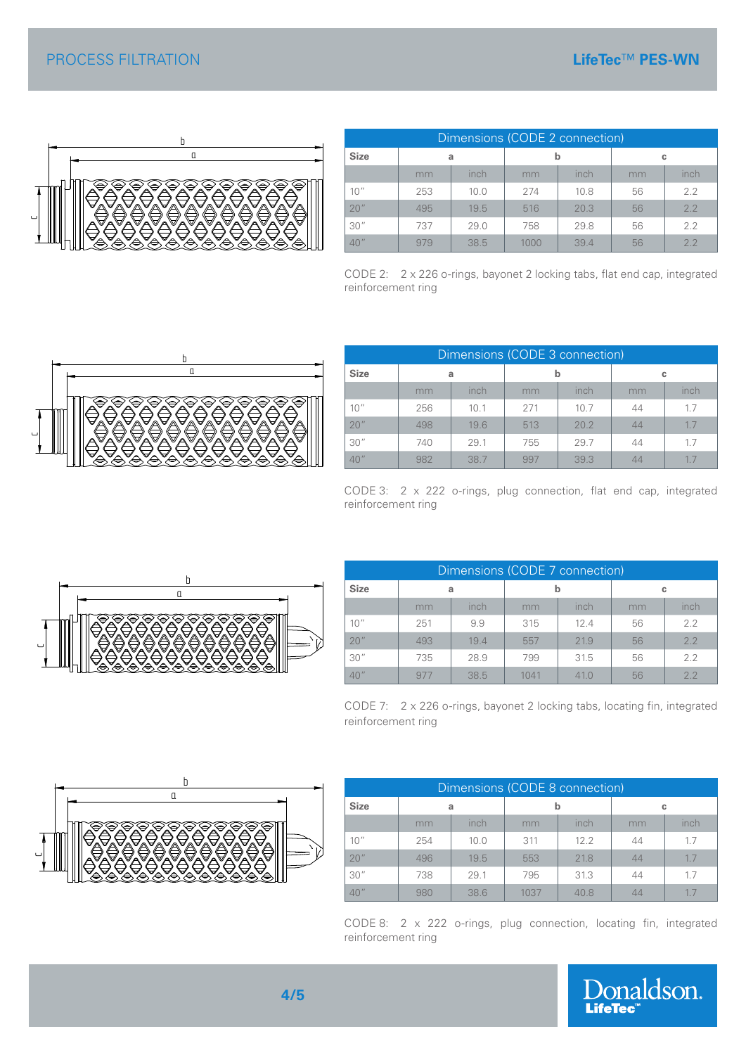

|             | Dimensions (CODE 2 connection) |      |      |      |    |      |  |  |
|-------------|--------------------------------|------|------|------|----|------|--|--|
| <b>Size</b> | a                              |      |      |      | c  |      |  |  |
|             | mm                             | inch | mm   | inch | mm | inch |  |  |
| 10''        | 253                            | 10.0 | 274  | 10.8 | 56 | 2.2  |  |  |
| 20''        | 495                            | 19.5 | 516  | 20.3 | 56 | 2.2  |  |  |
| 30''        | 737                            | 29.0 | 758  | 29.8 | 56 | 2.2  |  |  |
| 40''        | 979                            | 38.5 | 1000 | 394  | 56 | 2.2  |  |  |

CODE 2: 2 x 226 o-rings, bayonet 2 locking tabs, flat end cap, integrated reinforcement ring



| Dimensions (CODE 3 connection) |     |      |     |      |                |      |  |  |  |
|--------------------------------|-----|------|-----|------|----------------|------|--|--|--|
| <b>Size</b>                    | a   |      | b   |      | c              |      |  |  |  |
|                                | mm  | inch | mm  | inch | mm             | inch |  |  |  |
| 10''                           | 256 | 10.1 | 271 | 10.7 | 44             | 1.7  |  |  |  |
| 20''                           | 498 | 19.6 | 513 | 20.2 | 44             | 1.7  |  |  |  |
| 30''                           | 740 | 29.1 | 755 | 29.7 | 44             | 1.7  |  |  |  |
| 40''                           | 982 | 38.7 | 997 | 39.3 | $\Delta\Delta$ | 1.7  |  |  |  |

CODE 3: 2 x 222 o-rings, plug connection, flat end cap, integrated reinforcement ring



| Dimensions (CODE 7 connection) |     |      |      |      |    |      |  |  |
|--------------------------------|-----|------|------|------|----|------|--|--|
| <b>Size</b>                    | a   |      | b    |      | c  |      |  |  |
|                                | mm  | inch | mm   | inch | mm | inch |  |  |
| 10''                           | 251 | 9.9  | 315  | 12.4 | 56 | 2.2  |  |  |
| 20''                           | 493 | 19.4 | 557  | 21.9 | 56 | 2.2  |  |  |
| 30''                           | 735 | 28.9 | 799  | 31.5 | 56 | 2.2  |  |  |
| 40''                           | 977 | 38.5 | 1041 | 41 N | 56 | 2.2  |  |  |

CODE 7: 2 x 226 o-rings, bayonet 2 locking tabs, locating fin, integrated reinforcement ring



c

| Dimensions (CODE 8 connection) |     |      |      |      |    |      |  |  |
|--------------------------------|-----|------|------|------|----|------|--|--|
| <b>Size</b>                    | a   |      | b    |      | c  |      |  |  |
|                                | mm  | inch | mm   | inch | mm | inch |  |  |
| 10''                           | 254 | 10.0 | 311  | 12.2 | 44 | 1.7  |  |  |
| 20''                           | 496 | 19.5 | 553  | 21.8 | 44 | 1.7  |  |  |
| 30''                           | 738 | 29.1 | 795  | 31.3 | 44 | 1.7  |  |  |
| 40''                           | 980 | 38.6 | 1037 | 40.8 |    | 17   |  |  |

CODE 8: 2 x 222 o-rings, plug connection, locating fin, integrated reinforcement ring